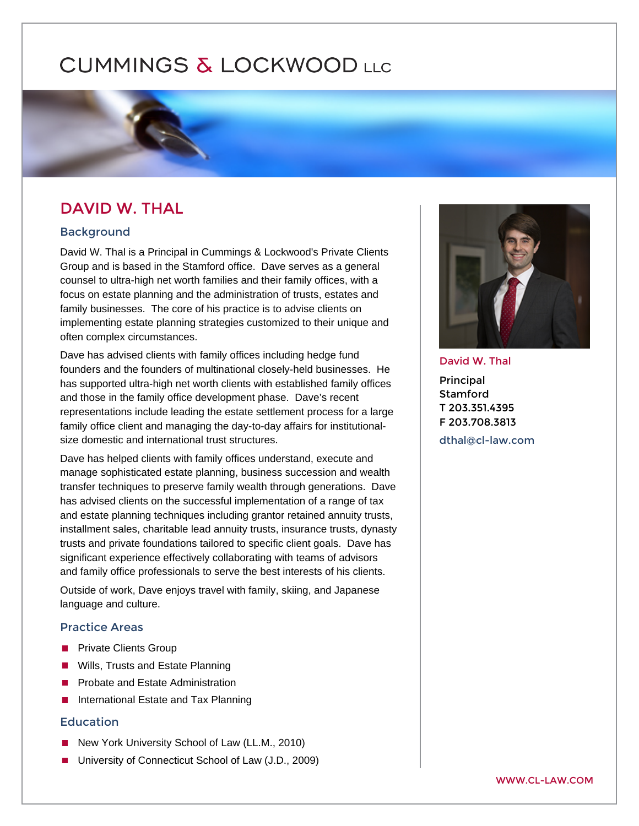# DAVID W. THAL

# Background

David W. Thal is a Principal in Cummings & Lockwood's Private Clients Group and is based in the Stamford office. Dave serves as a general counsel to ultra-high net worth families and their family offices, with a focus on estate planning and the administration of trusts, estates and family businesses. The core of his practice is to advise clients on implementing estate planning strategies customized to their unique and often complex circumstances.

Dave has advised clients with family offices including hedge fund founders and the founders of multinational closely-held businesses. He has supported ultra-high net worth clients with established family offices and those in the family office development phase. Dave's recent representations include leading the estate settlement process for a large family office client and managing the day-to-day affairs for institutionalsize domestic and international trust structures.

Dave has helped clients with family offices understand, execute and manage sophisticated estate planning, business succession and wealth transfer techniques to preserve family wealth through generations. Dave has advised clients on the successful implementation of a range of tax and estate planning techniques including grantor retained annuity trusts, installment sales, charitable lead annuity trusts, insurance trusts, dynasty trusts and private foundations tailored to specific client goals. Dave has significant experience effectively collaborating with teams of advisors and family office professionals to serve the best interests of his clients.

Outside of work, Dave enjoys travel with family, skiing, and Japanese language and culture.

# Practice Areas

[Private Clients Group](https://www.cl-law.com/practice-areas/private-clients-group)  [Wills, Trusts and Estate Planning](https://www.cl-law.com/practice-areas/wills-trusts-estate-planning)  [Probate and Estate Administration](https://www.cl-law.com/practice-areas/probate-and-estate-administration)  [International Estate and Tax Planning](https://www.cl-law.com/practice-areas/international-estate-and-tax-planning) 

## Education

New York University School of Law (LL.M., 2010) University of Connecticut School of Law (J.D., 2009)

#### David W. Thal

Principal Stamford T 203.351.4395 F 203.708.3813

[dthal@cl-law.](mailto:dthal@cl-law.com)com